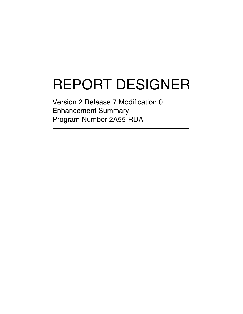# REPORT DESIGNER

Version 2 Release 7 Modification 0 Enhancement Summary Program Number 2A55-RDA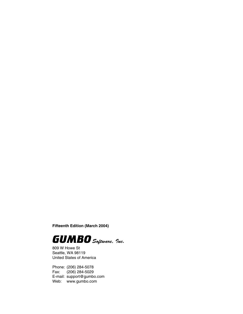**Fifteenth Edition (March 2004)**



809 W Howe St Seattle, WA 98119 United States of America

Phone: (206) 284-5078 Fax: (206) 284-5029 E-mail: support@gumbo.com Web: www.gumbo.com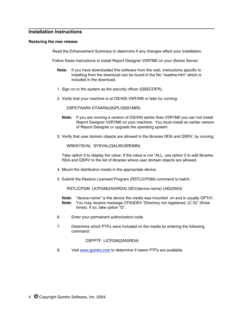# **Installation Instructions**

#### **Restoring the new release**

Read the Enhancement Summary to determine if any changes affect your installation.

Follow these instructions to install Report Designer V2R7M0 on your iSeries Server:

- **Note:** If you have downloaded this software from the web, instructions specific to installing from the download can be found in the file "readme.htm" which is included in the download.
- 1. Sign on to the system as the security officer (QSECOFR).
- 2. Verify that your machine is at OS/400 V5R1M0 or later by running:

DSPDTAARA DTAARA(QGPL/QSS1MRI)

- **Note:** If you are running a version of OS/400 earlier than V5R1M0 you can not install Report Designer V2R7M0 on your machine. You must install an earlier version of Report Designer or upgrade the operating system.
- 3. Verify that user domain objects are allowed in the libraries RDA and QSRV, by running:

WRKSYSVAL SYSVAL(QALWUSRDMN)

Take option 5 to display the value. If the value is not \*ALL, use option 2 to add libraries RDA and QSRV to the list of libraries where user domain objects are allowed.

- 4. Mount the distribution media in the appropriate device.
- 5. Submit the Restore Licensed Program (RSTLICPGM) command to batch:

RSTLICPGM LICPGM(2A55RDA) DEV(device-name) LNG(2924)

- **Note:** "device-name" is the device the media was mounted on and is usually OPT01. **Note:** You may receive message CPA3DE4 "Directory not registered. (C G)" (three times). If so, take option "G".
- 6. Enter your permanent authorization code.
- 7. Determine which PTFs were included on the media by entering the following command:

DSPPTF LICPGM(2A55RDA)

8. Visit www.gumbo.com to determine if newer PTFs are available.